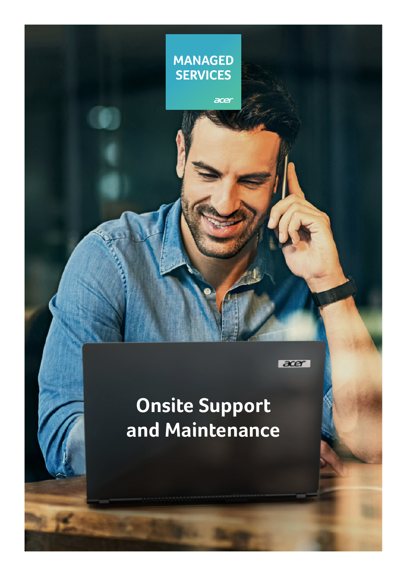

acer

#### $\overline{accer}$

# **Onsite Support and Maintenance**

**1**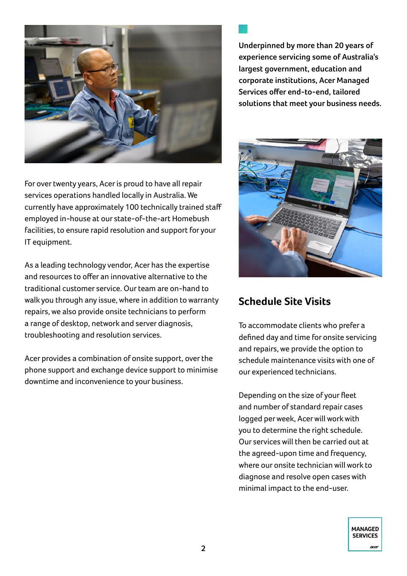

For over twenty years, Acer is proud to have all repair services operations handled locally in Australia. We currently have approximately 100 technically trained staff employed in-house at our state-of-the-art Homebush facilities, to ensure rapid resolution and support for your IT equipment.

As a leading technology vendor, Acer has the expertise and resources to offer an innovative alternative to the traditional customer service. Our team are on-hand to walk you through any issue, where in addition to warranty repairs, we also provide onsite technicians to perform a range of desktop, network and server diagnosis, troubleshooting and resolution services.

Acer provides a combination of onsite support, over the phone support and exchange device support to minimise downtime and inconvenience to your business.

**Underpinned by more than 20 years of experience servicing some of Australia's largest government, education and corporate institutions, Acer Managed Services offer end-to-end, tailored solutions that meet your business needs.**



### **Schedule Site Visits**

To accommodate clients who prefer a defined day and time for onsite servicing and repairs, we provide the option to schedule maintenance visits with one of our experienced technicians.

Depending on the size of your fleet and number of standard repair cases logged per week, Acer will work with you to determine the right schedule. Our services will then be carried out at the agreed-upon time and frequency, where our onsite technician will work to diagnose and resolve open cases with minimal impact to the end-user.